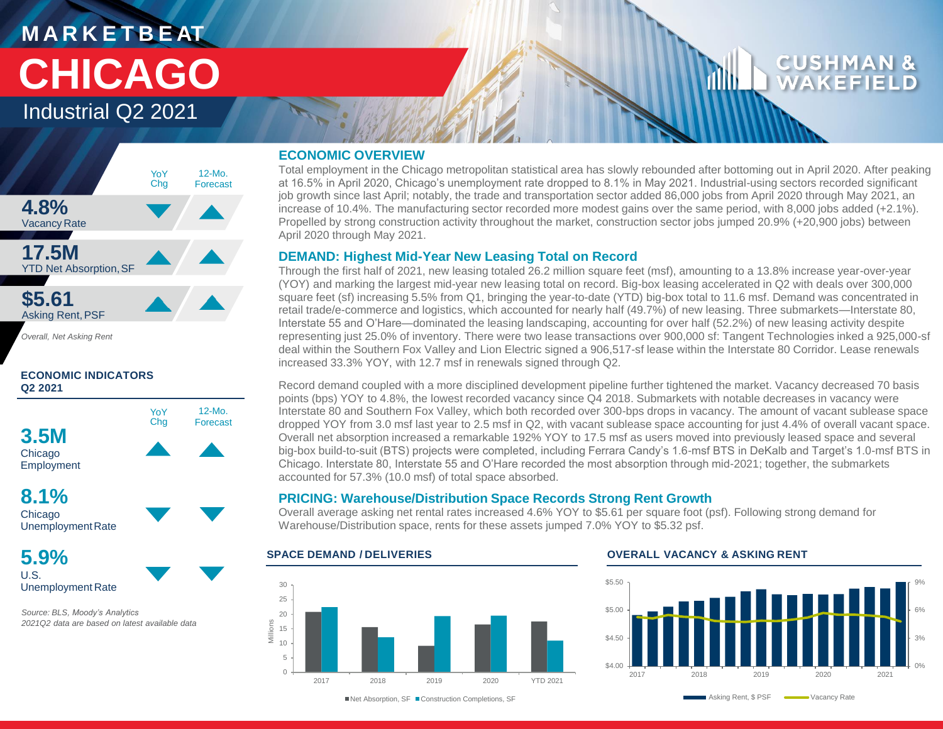# **M A R K E T B E AT CHICAGO**

Industrial Q2 2021



*Overall, Net Asking Rent*

### **ECONOMIC INDICATORS Q2 2021**



Chicago UnemploymentRate

**5.9%** U.S. Unemployment Rate

*Source: BLS, Moody's Analytics 2021Q2 data are based on latest available data* 

### **ECONOMIC OVERVIEW**

Total employment in the Chicago metropolitan statistical area has slowly rebounded after bottoming out in April 2020. After peaking at 16.5% in April 2020, Chicago's unemployment rate dropped to 8.1% in May 2021. Industrial-using sectors recorded significant job growth since last April; notably, the trade and transportation sector added 86,000 jobs from April 2020 through May 2021, an increase of 10.4%. The manufacturing sector recorded more modest gains over the same period, with 8,000 jobs added (+2.1%). Propelled by strong construction activity throughout the market, construction sector jobs jumped 20.9% (+20,900 jobs) between April 2020 through May 2021.

### **DEMAND: Highest Mid-Year New Leasing Total on Record**

Through the first half of 2021, new leasing totaled 26.2 million square feet (msf), amounting to a 13.8% increase year-over-year (YOY) and marking the largest mid-year new leasing total on record. Big-box leasing accelerated in Q2 with deals over 300,000 square feet (sf) increasing 5.5% from Q1, bringing the year-to-date (YTD) big-box total to 11.6 msf. Demand was concentrated in retail trade/e-commerce and logistics, which accounted for nearly half (49.7%) of new leasing. Three submarkets—Interstate 80, Interstate 55 and O'Hare—dominated the leasing landscaping, accounting for over half (52.2%) of new leasing activity despite representing just 25.0% of inventory. There were two lease transactions over 900,000 sf: Tangent Technologies inked a 925,000-sf deal within the Southern Fox Valley and Lion Electric signed a 906,517-sf lease within the Interstate 80 Corridor. Lease renewals increased 33.3% YOY, with 12.7 msf in renewals signed through Q2.

Record demand coupled with a more disciplined development pipeline further tightened the market. Vacancy decreased 70 basis points (bps) YOY to 4.8%, the lowest recorded vacancy since Q4 2018. Submarkets with notable decreases in vacancy were Interstate 80 and Southern Fox Valley, which both recorded over 300-bps drops in vacancy. The amount of vacant sublease space dropped YOY from 3.0 msf last year to 2.5 msf in Q2, with vacant sublease space accounting for just 4.4% of overall vacant space. Overall net absorption increased a remarkable 192% YOY to 17.5 msf as users moved into previously leased space and several big-box build-to-suit (BTS) projects were completed, including Ferrara Candy's 1.6-msf BTS in DeKalb and Target's 1.0-msf BTS in Chicago. Interstate 80, Interstate 55 and O'Hare recorded the most absorption through mid-2021; together, the submarkets accounted for 57.3% (10.0 msf) of total space absorbed.

### **PRICING: Warehouse/Distribution Space Records Strong Rent Growth**

Overall average asking net rental rates increased 4.6% YOY to \$5.61 per square foot (psf). Following strong demand for Warehouse/Distribution space, rents for these assets jumped 7.0% YOY to \$5.32 psf.



### **SPACE DEMAND / DELIVERIES OVERALL VACANCY & ASKING RENT**



■Net Absorption, SF ■ Construction Completions, SF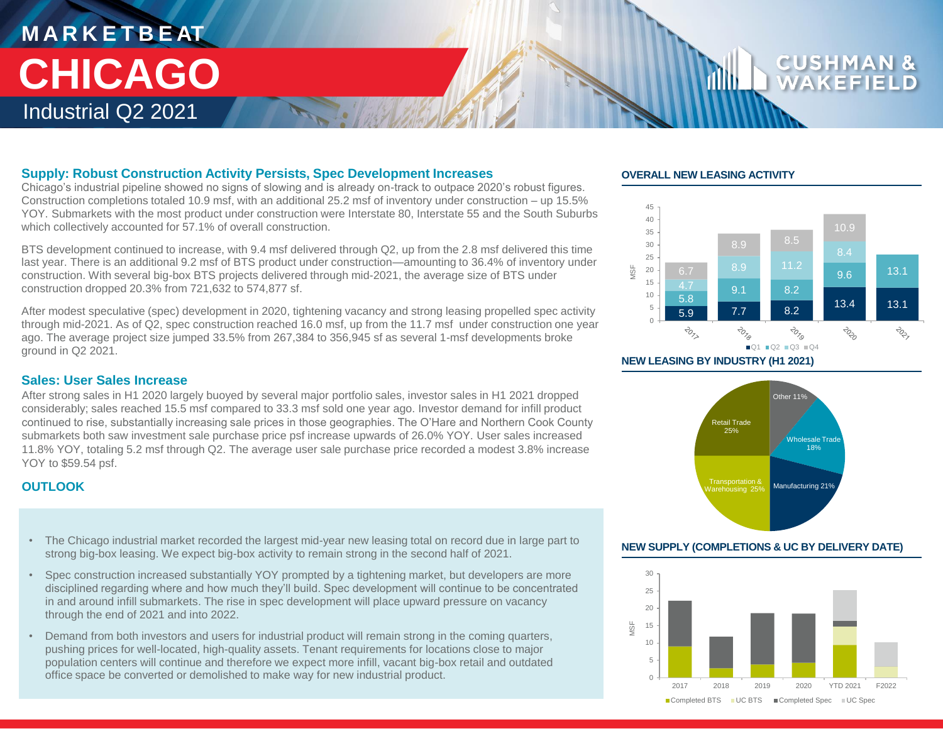## **M A R K E T B E AT** Industrial Q2 2021 **CHICAGO**

### **Supply: Robust Construction Activity Persists, Spec Development Increases**

Chicago's industrial pipeline showed no signs of slowing and is already on-track to outpace 2020's robust figures. Construction completions totaled 10.9 msf, with an additional 25.2 msf of inventory under construction – up 15.5% YOY. Submarkets with the most product under construction were Interstate 80, Interstate 55 and the South Suburbs which collectively accounted for 57.1% of overall construction.

BTS development continued to increase, with 9.4 msf delivered through Q2, up from the 2.8 msf delivered this time last year. There is an additional 9.2 msf of BTS product under construction—amounting to 36.4% of inventory under construction. With several big-box BTS projects delivered through mid-2021, the average size of BTS under construction dropped 20.3% from 721,632 to 574,877 sf.

After modest speculative (spec) development in 2020, tightening vacancy and strong leasing propelled spec activity through mid-2021. As of Q2, spec construction reached 16.0 msf, up from the 11.7 msf under construction one year ago. The average project size jumped 33.5% from 267,384 to 356,945 sf as several 1-msf developments broke ground in Q2 2021.

### **Sales: User Sales Increase**

After strong sales in H1 2020 largely buoyed by several major portfolio sales, investor sales in H1 2021 dropped considerably; sales reached 15.5 msf compared to 33.3 msf sold one year ago. Investor demand for infill product continued to rise, substantially increasing sale prices in those geographies. The O'Hare and Northern Cook County submarkets both saw investment sale purchase price psf increase upwards of 26.0% YOY. User sales increased 11.8% YOY, totaling 5.2 msf through Q2. The average user sale purchase price recorded a modest 3.8% increase YOY to \$59.54 psf.

### **OUTLOOK**

- The Chicago industrial market recorded the largest mid-year new leasing total on record due in large part to **NEW SUPPLY (COMPLETIONS & UC BY DELIVERY DATE)** strong big-box leasing. We expect big-box activity to remain strong in the second half of 2021.
- Spec construction increased substantially YOY prompted by a tightening market, but developers are more disciplined regarding where and how much they'll build. Spec development will continue to be concentrated in and around infill submarkets. The rise in spec development will place upward pressure on vacancy through the end of 2021 and into 2022.
- Demand from both investors and users for industrial product will remain strong in the coming quarters, pushing prices for well-located, high-quality assets. Tenant requirements for locations close to major population centers will continue and therefore we expect more infill, vacant big-box retail and outdated office space be converted or demolished to make way for new industrial product.

### **OVERALL NEW LEASING ACTIVITY**



**CUSHM** 





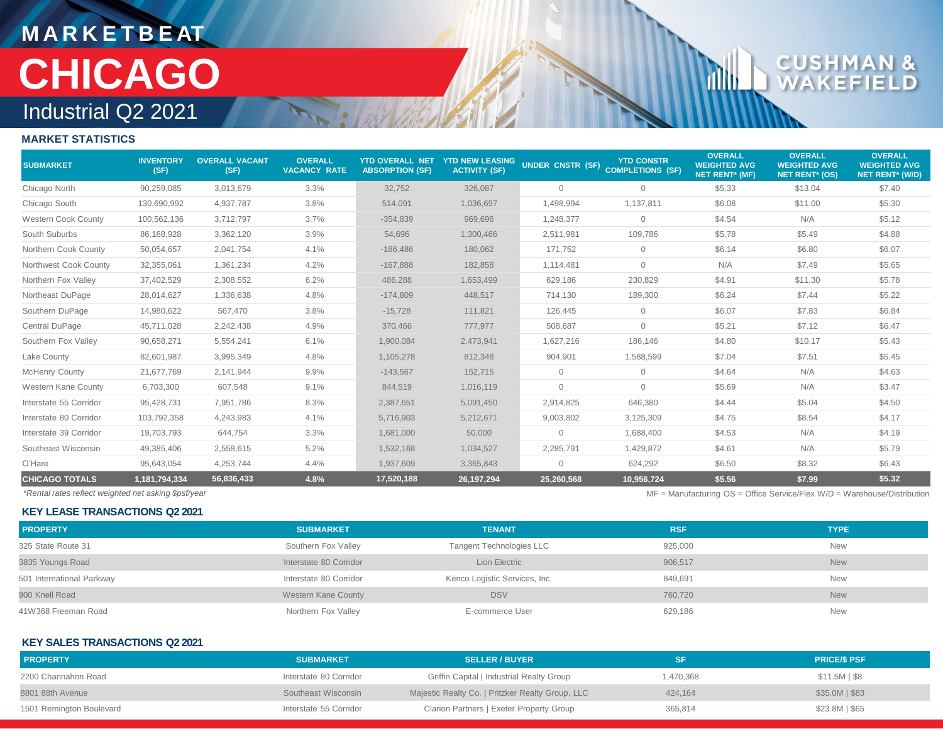## **M A R K E T B E AT** Industrial Q2 2021 **CHICAGO**

## CU D

rillin

### **MARKET STATISTICS**

| <b>SUBMARKET</b>           | <b>INVENTORY</b><br>(SF) | <b>OVERALL VACANT</b><br>(SF) | <b>OVERALL</b><br><b>VACANCY RATE</b> | <b>YTD OVERALL NET</b><br><b>ABSORPTION (SF)</b> | <b>YTD NEW LEASING</b><br><b>ACTIVITY (SF)</b> | UNDER CNSTR (SF) COMPLETIONS (SF) | <b>YTD CONSTR</b> | <b>OVERALL</b><br><b>WEIGHTED AVG</b><br><b>NET RENT* (MF)</b> | <b>OVERALL</b><br><b>WEIGHTED AVG</b><br><b>NET RENT* (OS)</b> | <b>OVERALL</b><br><b>WEIGHTED AVG</b><br>NET RENT* (W/D) |
|----------------------------|--------------------------|-------------------------------|---------------------------------------|--------------------------------------------------|------------------------------------------------|-----------------------------------|-------------------|----------------------------------------------------------------|----------------------------------------------------------------|----------------------------------------------------------|
| Chicago North              | 90,259,085               | 3,013,679                     | 3.3%                                  | 32,752                                           | 326,087                                        | 0                                 | $\mathbf{0}$      | \$5.33                                                         | \$13.04                                                        | \$7.40                                                   |
| Chicago South              | 130,690,992              | 4,937,787                     | 3.8%                                  | 514,091                                          | 1,036,697                                      | 1,498,994                         | 1,137,811         | \$6.08                                                         | \$11.00                                                        | \$5.30                                                   |
| <b>Western Cook County</b> | 100,562,136              | 3,712,797                     | 3.7%                                  | $-354,839$                                       | 969,696                                        | 1,248,377                         | $\circ$           | \$4.54                                                         | N/A                                                            | \$5.12                                                   |
| South Suburbs              | 86,168,928               | 3,362,120                     | 3.9%                                  | 54,696                                           | 1,300,466                                      | 2,511,981                         | 109,786           | \$5.78                                                         | \$5.49                                                         | \$4.88                                                   |
| Northern Cook County       | 50,054,657               | 2,041,754                     | 4.1%                                  | $-186,486$                                       | 180,062                                        | 171,752                           | $\mathbf{0}$      | \$6.14                                                         | \$6.80                                                         | \$6.07                                                   |
| Northwest Cook County      | 32,355,061               | 1,361,234                     | 4.2%                                  | $-167,888$                                       | 182,858                                        | 1,114,481                         | $\mathbf{0}$      | N/A                                                            | \$7.49                                                         | \$5.65                                                   |
| Northern Fox Valley        | 37,402,529               | 2,308,552                     | 6.2%                                  | 486,288                                          | 1,653,499                                      | 629,186                           | 230,829           | \$4.91                                                         | \$11.30                                                        | \$5.78                                                   |
| Northeast DuPage           | 28,014,627               | 1,336,638                     | 4.8%                                  | $-174,809$                                       | 448,517                                        | 714,130                           | 189,300           | \$6.24                                                         | \$7.44                                                         | \$5.22                                                   |
| Southern DuPage            | 14,980,622               | 567,470                       | 3.8%                                  | $-15,728$                                        | 111,821                                        | 126.445                           | $\circ$           | \$6.07                                                         | \$7.83                                                         | \$6.84                                                   |
| Central DuPage             | 45,711,028               | 2,242,438                     | 4.9%                                  | 370,466                                          | 777,977                                        | 508,687                           | $\mathbf{0}$      | \$5.21                                                         | \$7.12                                                         | \$6.47                                                   |
| Southern Fox Valley        | 90,658,271               | 5,554,241                     | 6.1%                                  | 1,900,084                                        | 2,473,941                                      | 1,627,216                         | 186,146           | \$4.80                                                         | \$10.17                                                        | \$5.43                                                   |
| Lake County                | 82,601,987               | 3,995,349                     | 4.8%                                  | 1,105,278                                        | 812,348                                        | 904,901                           | 1,588,599         | \$7.04                                                         | \$7.51                                                         | \$5.45                                                   |
| <b>McHenry County</b>      | 21,677,769               | 2,141,944                     | 9.9%                                  | $-143,567$                                       | 152,715                                        | $\mathbf{0}$                      | $\mathbf{0}$      | \$4.64                                                         | N/A                                                            | \$4.63                                                   |
| Western Kane County        | 6,703,300                | 607,548                       | 9.1%                                  | 844,519                                          | 1,016,119                                      | $\overline{0}$                    | $\mathbf{0}$      | \$5.69                                                         | N/A                                                            | \$3.47                                                   |
| Interstate 55 Corridor     | 95,428,731               | 7,951,786                     | 8.3%                                  | 2,387,651                                        | 5,091,450                                      | 2,914,825                         | 646,380           | \$4.44                                                         | \$5.04                                                         | \$4.50                                                   |
| Interstate 80 Corridor     | 103,792,358              | 4,243,983                     | 4.1%                                  | 5,716,903                                        | 5,212,671                                      | 9,003,802                         | 3,125,309         | \$4.75                                                         | \$8.54                                                         | \$4.17                                                   |
| Interstate 39 Corridor     | 19,703,793               | 644,754                       | 3.3%                                  | 1,681,000                                        | 50,000                                         | $\Omega$                          | 1,688,400         | \$4.53                                                         | N/A                                                            | \$4.19                                                   |
| Southeast Wisconsin        | 49,385,406               | 2,558,615                     | 5.2%                                  | 1,532,168                                        | 1,034,527                                      | 2,285,791                         | 1,429,872         | \$4.61                                                         | N/A                                                            | \$5.79                                                   |
| O'Hare                     | 95,643,054               | 4,253,744                     | 4.4%                                  | 1,937,609                                        | 3,365,843                                      | 0                                 | 624,292           | \$6.50                                                         | \$8.32                                                         | \$6.43                                                   |
| <b>CHICAGO TOTALS</b>      | 1,181,794,334            | 56,836,433                    | 4.8%                                  | 17,520,188                                       | 26, 197, 294                                   | 25,260,568                        | 10,956,724        | \$5.56                                                         | \$7.99                                                         | \$5.32                                                   |

**KEY LEASE TRANSACTIONS Q2 2021**

*\*Rental rates reflect weighted net asking \$psf/year* MF = Manufacturing OS = Office Service/Flex W/D = Warehouse/Distribution

| <b>PROPERTY</b>           | <b>SUBMARKET</b>       | <b>TENANT</b>                   | <b>RSF</b> | <b>TYPE</b> |
|---------------------------|------------------------|---------------------------------|------------|-------------|
| 325 State Route 31        | Southern Fox Valley    | <b>Tangent Technologies LLC</b> | 925,000    | <b>New</b>  |
| 3835 Youngs Road          | Interstate 80 Corridor | Lion Electric                   | 906,517    | <b>New</b>  |
| 501 International Parkway | Interstate 80 Corridor | Kenco Logistic Services, Inc.   | 849,691    | <b>New</b>  |
| 900 Knell Road            | Western Kane County    | <b>DSV</b>                      | 760.720    | <b>New</b>  |
| 41W368 Freeman Road       | Northern Fox Valley    | E-commerce User                 | 629,186    | <b>New</b>  |

### **KEY SALES TRANSACTIONS Q2 2021**

| <b>PROPERTY</b>          | <b>SUBMARKET</b>       | <b>SELLER / BUYER</b>                            | SF        | <b>PRICE/S PSF</b> |
|--------------------------|------------------------|--------------------------------------------------|-----------|--------------------|
| 2200 Channahon Road      | Interstate 80 Corridor | Griffin Capital   Industrial Realty Group        | 1,470,368 | $$11.5M$   \$8     |
| 8801 88th Avenue         | Southeast Wisconsin    | Majestic Realty Co.   Pritzker Realty Group, LLC | 424.164   | $$35.0M$$ $$83$    |
| 1501 Remington Boulevard | Interstate 55 Corridor | Clarion Partners   Exeter Property Group         | 365,814   | $$23.8M$$   $$65$  |